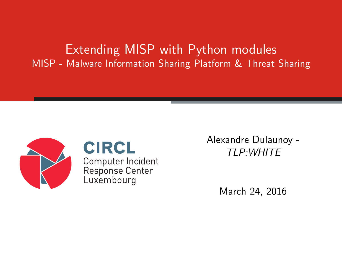Extending MISP with Python modules MISP - Malware Information Sharing Platform & Threat Sharing



**CIRCL** Computer Incident Response Center Luxembourg

Alexandre Dulaunoy - TLP:WHITE

March 24, 2016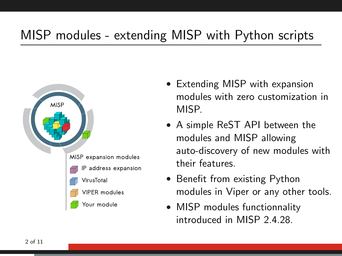# MISP modules - extending MISP with Python scripts



- Extending MISP with expansion modules with zero customization in MISP.
- A simple ReST API between the modules and MISP allowing auto-discovery of new modules with their features.
- Benefit from existing Python modules in Viper or any other tools.
- MISP modules functionnality introduced in MISP 2.4.28.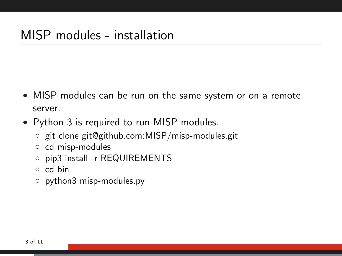- MISP modules can be run on the same system or on a remote server.
- Python 3 is required to run MISP modules.
	- git clone git@github.com:MISP/misp-modules.git
	- cd misp-modules
	- pip3 install -r REQUIREMENTS
	- cd bin
	- python3 misp-modules.py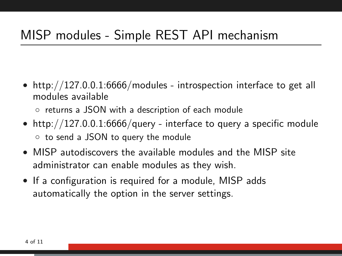## MISP modules - Simple REST API mechanism

• http://127.0.0.1:6666/modules - introspection interface to get all modules available

◦ returns a JSON with a description of each module

- http://127.0.0.1:6666/query interface to query a specific module ◦ to send a JSON to query the module
- MISP autodiscovers the available modules and the MISP site administrator can enable modules as they wish.
- If a configuration is required for a module, MISP adds automatically the option in the server settings.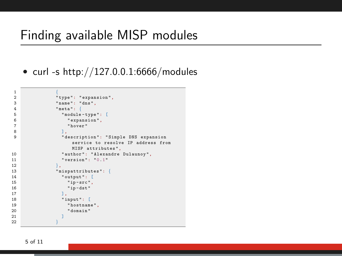### Finding available MISP modules

• curl -s http://127.0.0.1:6666/modules

```
1 \left\{ \begin{array}{ccc} 1 & \cdots & \cdots & \cdots \end{array} \right\}2 "type": "expansion",<br>3 "name": "dns".
3 "name": "dns",<br>4 "meta": \{4 " meta": {<br>
\frac{1}{2} " meta": {
5 " module - type ": [
6 " expansion",<br>
"
nover"
7 "hover"<br>8 1.
 8 a,
9 " description ": " Simple DNS expansion
                    service to resolve IP address from
                    MISP attributes ",
10 " author": "Alexandre Dulaunoy",<br>
11 " version": "0.1"
11 "version": "0.1"<br>12 },
12, \},
13 " mispattributes ": {
14 " output": [<br>15 " ip-src",
15 " ip-src",<br>16 " ip-dst"
16 "ip-dst"<br>17 ],
17 \qquad \qquad 1,18 " input ": [
19 "hostname",<br>20 "domain"
20 " domain "
21 ]
22 }
```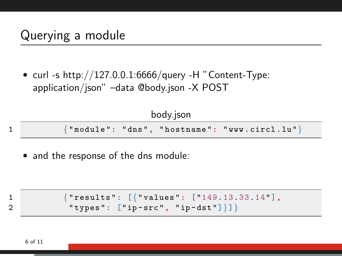• curl -s http://127.0.0.1:6666/query -H "Content-Type: application/json" –data @body.json -X POST

| body.json |  |  |                                                       |  |  |  |  |
|-----------|--|--|-------------------------------------------------------|--|--|--|--|
|           |  |  | $\{$ "module": "dns", "hostname": "www.circl.lu" $\}$ |  |  |  |  |

• and the response of the dns module:

1 {" results ": [{" values ": ["149.13.33.14"], 2 " types ": [" ip - src ", " ip - dst "]}]}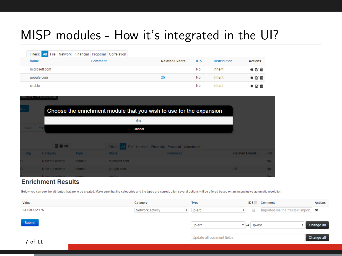# MISP modules - How it's integrated in the UI?

| Filters: All File Network Financial Proposal Correlation |  |         |  |                       |            |                     |                |
|----------------------------------------------------------|--|---------|--|-----------------------|------------|---------------------|----------------|
| Value                                                    |  | Comment |  | <b>Related Events</b> | <b>IDS</b> | <b>Distribution</b> | <b>Actions</b> |
| microsoft.com                                            |  |         |  |                       | No         | Inherit             | * 区 亩          |
| google.com                                               |  |         |  | 25                    | No         | Inherit             | * 区 亩          |
| circl.lu                                                 |  |         |  |                       | No         | Inherit             | * 区 亩          |

| <b>Attributes</b> | <b>Discussion</b>                                                   |             |                                                          |                       |            |
|-------------------|---------------------------------------------------------------------|-------------|----------------------------------------------------------|-----------------------|------------|
|                   | Choose the enrichment module that you wish to use for the expansion |             |                                                          |                       |            |
|                   |                                                                     |             | dns                                                      |                       |            |
| next »            | <b>Viey</b>                                                         |             | Cancel                                                   |                       |            |
|                   |                                                                     |             |                                                          |                       |            |
|                   | 日 0 20                                                              |             | Filters: All File Network Financial Proposal Correlation |                       |            |
| <b>Org</b>        | Category                                                            | <b>Type</b> | Value<br><b>Comment</b>                                  | <b>Related Events</b> | <b>IDS</b> |
|                   | Network activity                                                    | domain      | microsoft.com                                            |                       | <b>No</b>  |
|                   | Network activity                                                    | domain      | google.com                                               | 25                    | <b>No</b>  |
|                   | Natwork octivity                                                    | domain.     | circl lu-                                                |                       | <b>MA</b>  |

#### **Enrichment Results**

Below you can see the attributes that are to be created. Make sure that the categories and the types are correct, often several options will be offered based on an inconclusive automatic resolution.

| Value          | Category         | Type                      | IDS                                 | Comment                               | <b>Actions</b> |
|----------------|------------------|---------------------------|-------------------------------------|---------------------------------------|----------------|
| 23.100.122.175 | Network activity | $\mathbf{v}$ ip-src       | $\Box$<br>$\boldsymbol{\mathrm{v}}$ | Imported via the freetext import.   * |                |
|                |                  |                           |                                     |                                       |                |
| Submit         |                  | ip-src                    | ip-dst<br>$\rightarrow$             |                                       | Change all     |
|                |                  |                           |                                     |                                       |                |
|                |                  | Update all comment fields |                                     |                                       | Change all     |
| 7 of 11        |                  |                           |                                     |                                       |                |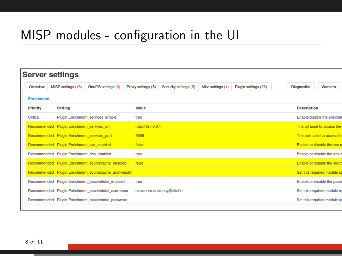## MISP modules - configuration in the UI

|                   | <b>Server settings</b>                      |                                                        |                    |                             |                   |                      |                    |                             |
|-------------------|---------------------------------------------|--------------------------------------------------------|--------------------|-----------------------------|-------------------|----------------------|--------------------|-----------------------------|
| Overview          | MISP settings (18)                          | GnuPG settings (3)                                     | Proxy settings (5) | Security settings (2)       | Misc settings (1) | Plugin settings (22) | <b>Diagnostics</b> | <b>Workers</b>              |
| <b>Enrichment</b> |                                             |                                                        |                    |                             |                   |                      |                    |                             |
| <b>Priority</b>   | <b>Setting</b>                              |                                                        | Value              |                             |                   |                      | <b>Description</b> |                             |
| Critical          |                                             | Plugin.Enrichment services enable                      | true               |                             |                   |                      |                    | Enable/disable the enrichm  |
|                   | Recommended Plugin.Enrichment_services_url  |                                                        | http://127.0.0.1   |                             |                   |                      |                    | The url used to access the  |
|                   | Recommended Plugin.Enrichment services port |                                                        | 6666               |                             |                   |                      |                    | The port used to access the |
|                   | Recommended Plugin.Enrichment_cve_enabled   |                                                        | false              |                             |                   |                      |                    | Enable or disable the cve n |
|                   | Recommended Plugin.Enrichment_dns_enabled   |                                                        | true               |                             |                   |                      |                    | Enable or disable the dns r |
|                   |                                             | Recommended Plugin.Enrichment_sourcecache_enabled      | false              |                             |                   |                      |                    | Enable or disable the sourc |
|                   |                                             | Recommended Plugin, Enrichment sourcecache archivepath |                    |                             |                   |                      |                    | Set this required module sp |
|                   |                                             | Recommended Plugin.Enrichment passivetotal enabled     | true               |                             |                   |                      |                    | Enable or disable the passi |
|                   |                                             | Recommended Plugin, Enrichment passivetotal username   |                    | alexandre.dulaunov@circl.lu |                   |                      |                    | Set this required module sp |
|                   |                                             | Recommended Plugin.Enrichment passivetotal password    |                    |                             |                   |                      |                    | Set this required module so |
|                   |                                             |                                                        |                    |                             |                   |                      |                    |                             |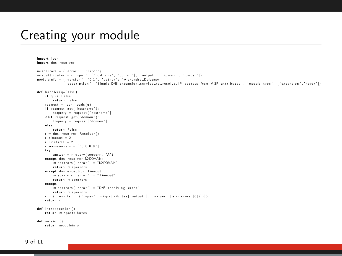## Creating your module

```
import json
import dns. resolver
misperrors = {'error' : 'Error'}<br>mispattributes = {'input': ['hostname', 'domain'], 'output': ['ip-src', 'ip-dst']}<br>moduleinfo = {'version': '01' 'author': 'Alexandre-Dulaunov'
                       ' description ': 'Simple_DNS expansion service_to_resolve_lP_address_from MISP_attributes', 'module−tvpe': ['expansion','hover']}
def handler ( q=False ) :
      if q is False:
            return False
      request = is on. loads(a)if request.get ('hostname'):
            to query = request['hostname']elif request.get ('domain'):
            to query = request['domain']e l s e :
            return False
       r eturn False<br>
r = \text{dns} \cdot \text{resolver} \cdot \text{Resolver}()<br>
r \cdot \text{timeout} = 2r . timeout = 2<br>r lifetime = 2
       r.lifetime = 2<br>r.nameservers = ['8.8.8.8']<br>try:
      answer = r. query (toquery, 'A')<br>except dns. resolver. NXDOMAIN:
       answer = r.query(toquery, 'A')<br>except dns.resolver.NXDOMAIN:<br>misperrors['error'] = "NXDOMAIN"<br>return misperrors
      return misperrors<br>except dns . exception . Timeout :<br>misperrors ['error'] = "Ti<br>return misperrors
      misperrors ['error'] = "Timeout"<br>return misperrors<br>except:
       except :<br> misperrors ['error'] = "DNS_resolving_error"<br> return misperrors
       return misperrors<br>r = {'results': [{'types': mispattributes['output'], 'values':[str(answer[0])]}]}<br>return r
def introspection ():
      return mispattributes
def version():
      return moduleinfo
```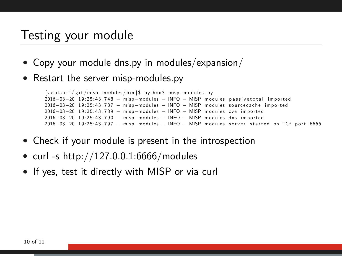### Testing your module

- Copy your module dns.py in modules/expansion/
- Restart the server misp-modules.py

[ a d u l a u : ˜ / g i t /misp−m odule s / b i n ] \$ py t h o n 3 misp−m odule s . py 2016-03-20 19:25:43,748 - misp-modules - INFO - MISP modules passivetotal imported  $2016-03-20$  19:25:43.787 – misp-modules – INFO – MISP modules sourcecache imported  $2016-03-20$  19:25:43, 789  $-$  misp-modules  $-$  INFO  $-$  MISP modules cve imported 2016-03-20 19:25:43.790 - misp-modules - INFO - MISP modules dns imported 2016-03-20 19:25:43.797 - misp-modules - INFO - MISP modules server started on TCP port 6666

- Check if your module is present in the introspection
- curl -s http://127.0.0.1:6666/modules
- If yes, test it directly with MISP or via curl